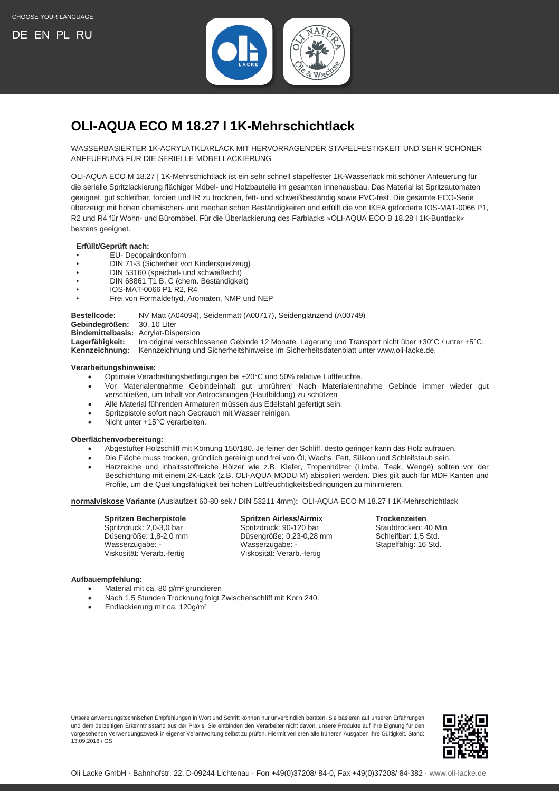

# <span id="page-0-0"></span>**OLI-AQUA ECO M 18.27 I 1K-Mehrschichtlack**

WASSERBASIERTER 1K-ACRYLATKLARLACK MIT HERVORRAGENDER STAPELFESTIGKEIT UND SEHR SCHÖNER ANFEUERUNG FÜR DIE SERIELLE MÖBELLACKIERUNG

OLI-AQUA ECO M 18.27 | 1K-Mehrschichtlack ist ein sehr schnell stapelfester 1K-Wasserlack mit schöner Anfeuerung für die serielle Spritzlackierung flächiger Möbel- und Holzbauteile im gesamten Innenausbau. Das Material ist Spritzautomaten geeignet, gut schleifbar, forciert und IR zu trocknen, fett- und schweißbeständig sowie PVC-fest. Die gesamte ECO-Serie überzeugt mit hohen chemischen- und mechanischen Beständigkeiten und erfüllt die von IKEA geforderte IOS-MAT-0066 P1, R2 und R4 für Wohn- und Büromöbel. Für die Überlackierung des Farblacks »OLI-AQUA ECO B 18.28 I 1K-Buntlack« bestens geeignet.

# **Erfüllt/Geprüft nach:**

- EU- Decopaintkonform
- DIN 71-3 (Sicherheit von Kinderspielzeug)
- DIN 53160 (speichel- und schweißecht)
- DIN 68861 T1 B, C (chem. Beständigkeit)
- IOS-MAT-0066 P1 R2, R4
- Frei von Formaldehyd, Aromaten, NMP und NEP

### **Bestellcode:** NV Matt (A04094), Seidenmatt (A00717), Seidenglänzend (A00749)

**Gebindegrößen:** 30, 10 Liter

**Bindemittelbasis:** Acrylat-Dispersion

**Lagerfähigkeit:** Im original verschlossenen Gebinde 12 Monate. Lagerung und Transport nicht über +30°C / unter +5°C.

**Kennzeichnung:** Kennzeichnung und Sicherheitshinweise im Sicherheitsdatenblatt unter www.oli-lacke.de.

### **Verarbeitungshinweise:**

- Optimale Verarbeitungsbedingungen bei +20°C und 50% relative Luftfeuchte.
- Vor Materialentnahme Gebindeinhalt gut umrühren! Nach Materialentnahme Gebinde immer wieder gut verschließen, um Inhalt vor Antrocknungen (Hautbildung) zu schützen
- Alle Material führenden Armaturen müssen aus Edelstahl gefertigt sein.
- Spritzpistole sofort nach Gebrauch mit Wasser reinigen.
- Nicht unter +15°C verarbeiten.

## **Oberflächenvorbereitung:**

- Abgestufter Holzschliff mit Körnung 150/180. Je feiner der Schliff, desto geringer kann das Holz aufrauen.
- Die Fläche muss trocken, gründlich gereinigt und frei von Öl, Wachs, Fett, Silikon und Schleifstaub sein.
- Harzreiche und inhaltsstoffreiche Hölzer wie z.B. Kiefer, Tropenhölzer (Limba, Teak, Wengé) sollten vor der Beschichtung mit einem 2K-Lack (z.B. OLI-AQUA MODU M) abisoliert werden. Dies gilt auch für MDF Kanten und Profile, um die Quellungsfähigkeit bei hohen Luftfeuchtigkeitsbedingungen zu minimieren.

**normalviskose Variante** (Auslaufzeit 60-80 sek./ DIN 53211 4mm)**:** OLI-AQUA ECO M 18.27 I 1K-Mehrschichtlack

Viskosität: Verarb.-fertig Viskosität: Verarb.-fertig

**Spritzen Becherpistole Spritzen Airless/Airmix Trockenzeiten** Spritzdruck: 2,0-3,0 bar Spritzdruck: 90-120 bar Staubtrocken: 40 M<br>Düsengröße: 1,8-2,0 mm Düsengröße: 0,23-0,28 mm Schleifbar: 1,5 Std. Düsengröße: 1,8-2,0 mm Düsengröße: 0,23-0,28 mm<br>Wasserzugabe: - 1,8 Stellen: 1,5 Statespartsmannen Wasserzugabe: 1,5 Stellen: 1,5 Stellen: 1,5 Stellen: 1,5 St

Stapelfähig: 16 Std.

#### **Aufbauempfehlung:**

- Material mit ca. 80 g/m² grundieren
- Nach 1,5 Stunden Trocknung folgt Zwischenschliff mit Korn 240.
- Endlackierung mit ca. 120g/m²

Unsere anwendungstechnischen Empfehlungen in Wort und Schrift können nur unverbindlich beraten. Sie basieren auf unseren Erfahrungen und dem derzeitigen Erkenntnisstand aus der Praxis. Sie entbinden den Verarbeiter nicht davon, unsere Produkte auf ihre Eignung für den vorgesehenen Verwendungszweck in eigener Verantwortung selbst zu prüfen. Hiermit verlieren alle früheren Ausgaben ihre Gültigkeit. Stand: 13.09.2016 / GS

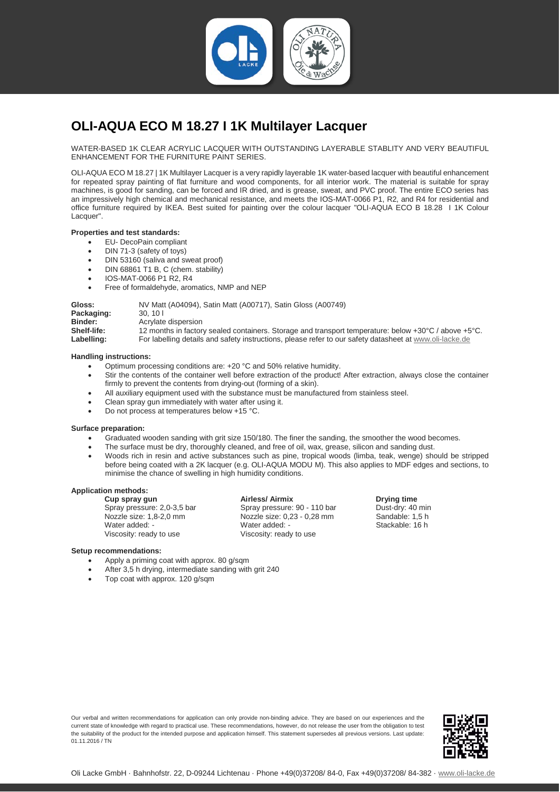

# <span id="page-1-0"></span>**OLI-AQUA ECO M 18.27 I 1K Multilayer Lacquer**

WATER-BASED 1K CLEAR ACRYLIC LACQUER WITH OUTSTANDING LAYERABLE STABLITY AND VERY BEAUTIFUL ENHANCEMENT FOR THE FURNITURE PAINT SERIES.

OLI-AQUA ECO M 18.27 | 1K Multilayer Lacquer is a very rapidly layerable 1K water-based lacquer with beautiful enhancement for repeated spray painting of flat furniture and wood components, for all interior work. The material is suitable for spray machines, is good for sanding, can be forced and IR dried, and is grease, sweat, and PVC proof. The entire ECO series has an impressively high chemical and mechanical resistance, and meets the IOS-MAT-0066 P1, R2, and R4 for residential and office furniture required by IKEA. Best suited for painting over the colour lacquer "OLI-AQUA ECO B 18.28 I 1K Colour Lacquer".

#### **Properties and test standards:**

- EU- DecoPain compliant
- DIN 71-3 (safety of toys)
- DIN 53160 (saliva and sweat proof)
- DIN 68861 T1 B, C (chem. stability)
- IOS-MAT-0066 P1 R2, R4
- Free of formaldehyde, aromatics, NMP and NEP

| Gloss:<br>Packaging: | NV Matt (A04094), Satin Matt (A00717), Satin Gloss (A00749)<br>30.101                                                    |
|----------------------|--------------------------------------------------------------------------------------------------------------------------|
| Binder:              | Acrylate dispersion                                                                                                      |
| Shelf-life:          | 12 months in factory sealed containers. Storage and transport temperature: below $+30^{\circ}$ C / above $+5^{\circ}$ C. |
| Labelling:           | For labelling details and safety instructions, please refer to our safety datasheet at www.oli-lacke.de                  |

### **Handling instructions:**

- Optimum processing conditions are: +20 °C and 50% relative humidity.
- Stir the contents of the container well before extraction of the product! After extraction, always close the container firmly to prevent the contents from drying-out (forming of a skin).
- All auxiliary equipment used with the substance must be manufactured from stainless steel.
- Clean spray gun immediately with water after using it.
- Do not process at temperatures below +15 °C.

#### **Surface preparation:**

- Graduated wooden sanding with grit size 150/180. The finer the sanding, the smoother the wood becomes.
- The surface must be dry, thoroughly cleaned, and free of oil, wax, grease, silicon and sanding dust.
- Woods rich in resin and active substances such as pine, tropical woods (limba, teak, wenge) should be stripped before being coated with a 2K lacquer (e.g. OLI-AQUA MODU M). This also applies to MDF edges and sections, to minimise the chance of swelling in high humidity conditions.

#### **Application methods:**

**Cup spray gun**<br> **Cup spray gund by Example Spray pressure: 90 - 110 bar Dust-dry: 40 min**<br> **Dust-dry: 40 min** Spray pressure: 2,0-3,5 bar Nozzle size: 1,8-2,0 mm Nozzle size: 0,23 - 0,28 mm Sandable: 1,5 h Water added: -<br>
Water added: -<br>
Viscosity: ready to use Stackable: 16 h<br>
Viscosity: ready to use Viscosity: ready to use

### **Setup recommendations:**

- Apply a priming coat with approx. 80 g/sqm
- After 3,5 h drying, intermediate sanding with grit 240
- Top coat with approx. 120 g/sqm

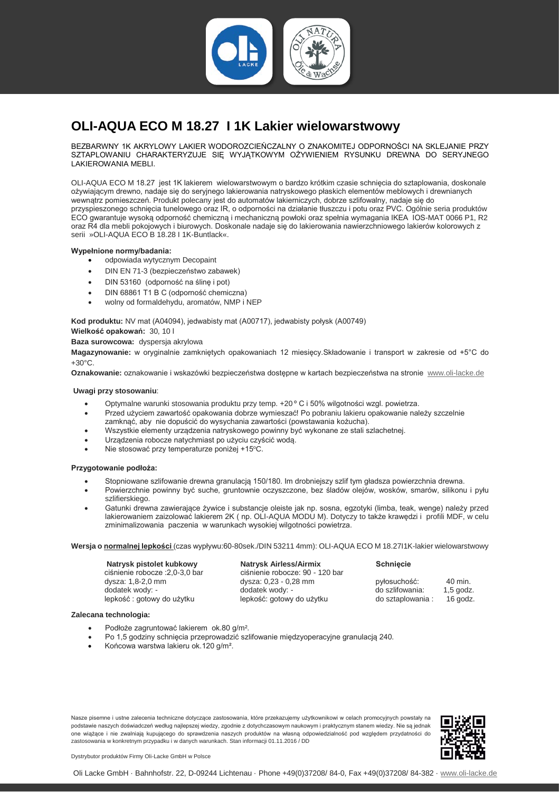

# <span id="page-2-0"></span>**OLI-AQUA ECO M 18.27 I 1K Lakier wielowarstwowy**

BEZBARWNY 1K AKRYLOWY LAKIER WODOROZCIEŃCZALNY O ZNAKOMITEJ ODPORNOŚCI NA SKLEJANIE PRZY SZTAPLOWANIU CHARAKTERYZUJE SIĘ WYJĄTKOWYM OŻYWIENIEM RYSUNKU DREWNA DO SERYJNEGO LAKIEROWANIA MEBLI.

OLI-AQUA ECO M 18.27 jest 1K lakierem wielowarstwowym o bardzo krótkim czasie schnięcia do sztaplowania, doskonale ożywiającym drewno, nadaje się do seryjnego lakierowania natryskowego płaskich elementów meblowych i drewnianych wewnątrz pomieszczeń. Produkt polecany jest do automatów lakierniczych, dobrze szlifowalny, nadaje się do przyspieszonego schnięcia tunelowego oraz IR, o odporności na działanie tłuszczu i potu oraz PVC. Ogólnie seria produktów ECO gwarantuje wysoką odporność chemiczną i mechaniczną powłoki oraz spełnia wymagania IKEA IOS-MAT 0066 P1, R2 oraz R4 dla mebli pokojowych i biurowych. Doskonale nadaje się do lakierowania nawierzchniowego lakierów kolorowych z serii »OLI-AQUA ECO B 18.28 I 1K-Buntlack«.

#### **Wypełnione normy/badania:**

- odpowiada wytycznym Decopaint
- DIN EN 71-3 (bezpieczeństwo zabawek)
- DIN 53160 (odporność na ślinę i pot)
- DIN 68861 T1 B C (odporność chemiczna)
- wolny od formaldehydu, aromatów, NMP i NEP

**Kod produktu:** NV mat (A04094), jedwabisty mat (A00717), jedwabisty połysk (A00749)

**Wielkość opakowań:** 30, 10 l

**Baza surowcowa:** dyspersja akrylowa

**Magazynowanie:** w oryginalnie zamkniętych opakowaniach 12 miesięcy.Składowanie i transport w zakresie od +5°C do +30°C.

**Oznakowanie:** oznakowanie i wskazówki bezpieczeństwa dostępne w kartach bezpieczeństwa na stronie [www.oli-lacke.de](http://www.oli-lacke.de/)

#### **Uwagi przy stosowaniu**:

- Optymalne warunki stosowania produktu przy temp. +20 º C i 50% wilgotności wzgl. powietrza.
- Przed użyciem zawartość opakowania dobrze wymieszać! Po pobraniu lakieru opakowanie należy szczelnie zamknąć, aby nie dopuścić do wysychania zawartości (powstawania kożucha).
- Wszystkie elementy urządzenia natryskowego powinny być wykonane ze stali szlachetnej.
- Urządzenia robocze natychmiast po użyciu czyścić wodą.
- Nie stosować przy temperaturze poniżej +15°C.

#### **Przygotowanie podłoża:**

- Stopniowane szlifowanie drewna granulacją 150/180. Im drobniejszy szlif tym gładsza powierzchnia drewna.
- Powierzchnie powinny być suche, gruntownie oczyszczone, bez śladów olejów, wosków, smarów, silikonu i pyłu szlifierskiego.
- Gatunki drewna zawierające żywice i substancje oleiste jak np. sosna, egzotyki (limba, teak, wenge) należy przed lakierowaniem zaizolować lakierem 2K ( np. OLI-AQUA MODU M). Dotyczy to także krawędzi i profili MDF, w celu zminimalizowania paczenia w warunkach wysokiej wilgotności powietrza.

#### **Wersja o normalnej lepkości** (czas wypływu:60-80sek./DIN 53211 4mm): OLI-AQUA ECO M 18.27I1K-lakier wielowarstwowy

**Natrysk pistolet kubkowy Natrysk Airless/Airmix Schnięcie**<br> **Computer Computer Computer Schnier Schnier (Schlager 2004)**<br> **Natrysk Airless/Airmix Computer Schnier Computer Schnier (Schnier Schnier Schnier Schnier Sc** dysza:  $1,8-2,0$  mm<br>dodatek wody:  $\frac{1}{2}$  dodatek wody:

ciśnienie robocze :2,0-3,0 bar ciśnienie robocze: 90 - 120 bar dysza: 0.23 - 0.28 mm do szlifowania: 1,5 godz.<br>
lepkość: gotowy do użytku do sztaplowania: 16 godz. lepkość : gotowy do użytku lepkość: gotowy do użytku do sztaplowania : 16 godz.

| 40 min.    |
|------------|
| $1,5$ god: |
| 16 god     |
|            |

#### **Zalecana technologia:**

- Podłoże zagruntować lakierem ok.80 g/m².
- Po 1,5 godziny schnięcia przeprowadzić szlifowanie międzyoperacyjne granulacją 240.
- Końcowa warstwa lakieru ok.120 g/m².

Nasze pisemne i ustne zalecenia techniczne dotyczące zastosowania, które przekazujemy użytkownikowi w celach promocyjnych powstały na podstawie naszych doświadczeń według najlepszej wiedzy, zgodnie z dotychczasowym naukowym i praktycznym stanem wiedzy. Nie są jednak one wiążące i nie zwalniają kupującego do sprawdzenia naszych produktów na własną odpowiedzialność pod względem przydatności do zastosowania w konkretnym przypadku i w danych warunkach. Stan informacji 01.11.2016 / DD



Dystrybutor produktów Firmy Oli-Lacke GmbH w Polsce